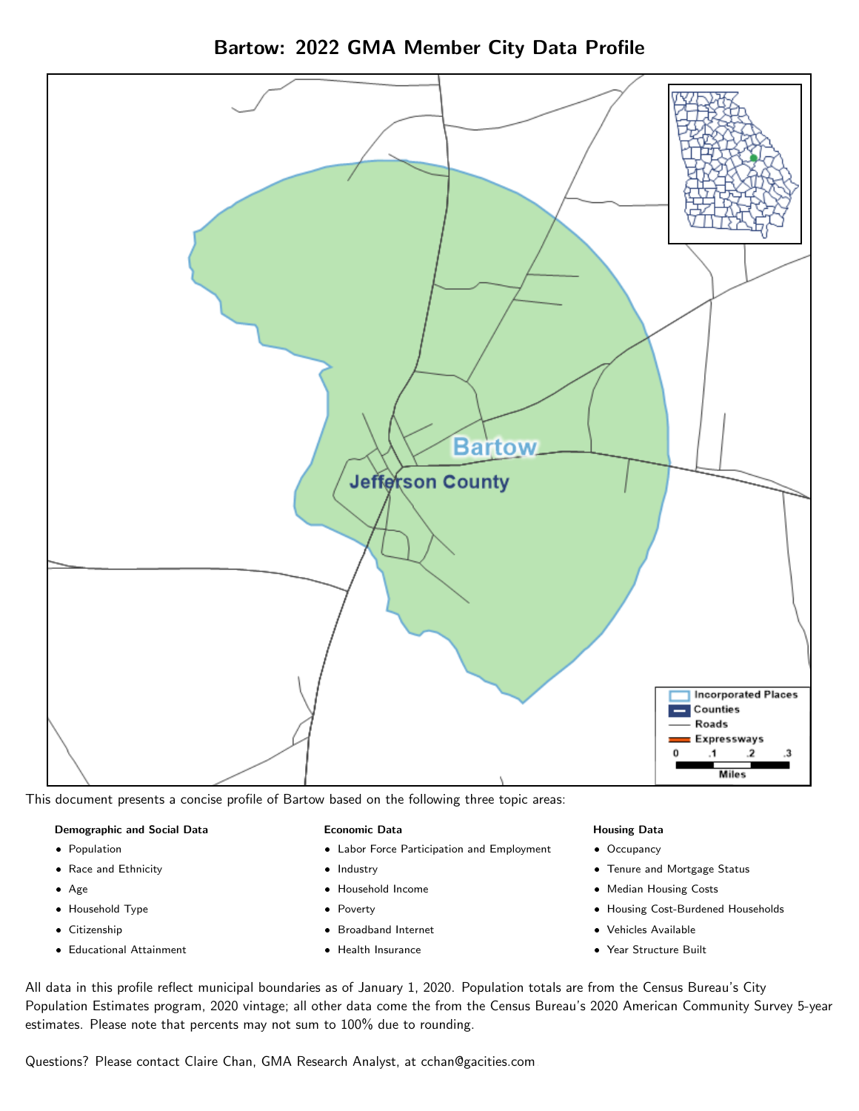

Bartow: 2022 GMA Member City Data Profile

This document presents a concise profile of Bartow based on the following three topic areas:

#### Demographic and Social Data

- **•** Population
- Race and Ethnicity
- Age
- Household Type
- **Citizenship**
- Educational Attainment

#### Economic Data

- Labor Force Participation and Employment
- Industry
- Household Income
- Poverty
- Broadband Internet
- Health Insurance

#### Housing Data

- Occupancy
- Tenure and Mortgage Status
- Median Housing Costs
- Housing Cost-Burdened Households
- Vehicles Available
- Year Structure Built

All data in this profile reflect municipal boundaries as of January 1, 2020. Population totals are from the Census Bureau's City Population Estimates program, 2020 vintage; all other data come the from the Census Bureau's 2020 American Community Survey 5-year estimates. Please note that percents may not sum to 100% due to rounding.

Questions? Please contact Claire Chan, GMA Research Analyst, at [cchan@gacities.com.](mailto:cchan@gacities.com)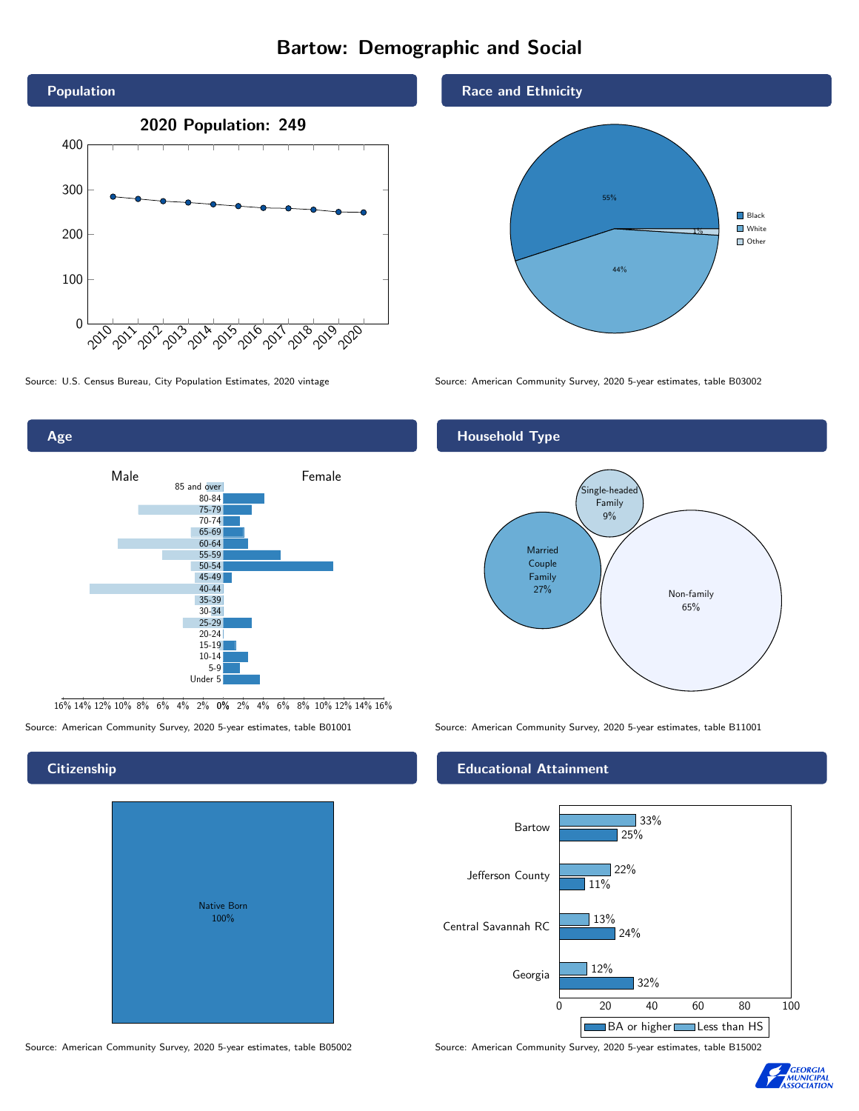#### Bartow: Demographic and Social





16% 14% 12% 10% 8% 6% 4% 2% 0% 2% 4% 6% 8% 10% 12% 14% 16%

Source: American Community Survey, 2020 5-year estimates, table B01001 Source: American Community Survey, 2020 5-year estimates, table B11001

# Native Born 100%





Source: U.S. Census Bureau, City Population Estimates, 2020 vintage Source: American Community Survey, 2020 5-year estimates, table B03002

#### Household Type



#### Educational Attainment



Source: American Community Survey, 2020 5-year estimates, table B05002 Source: American Community Survey, 2020 5-year estimates, table B15002



#### **Citizenship**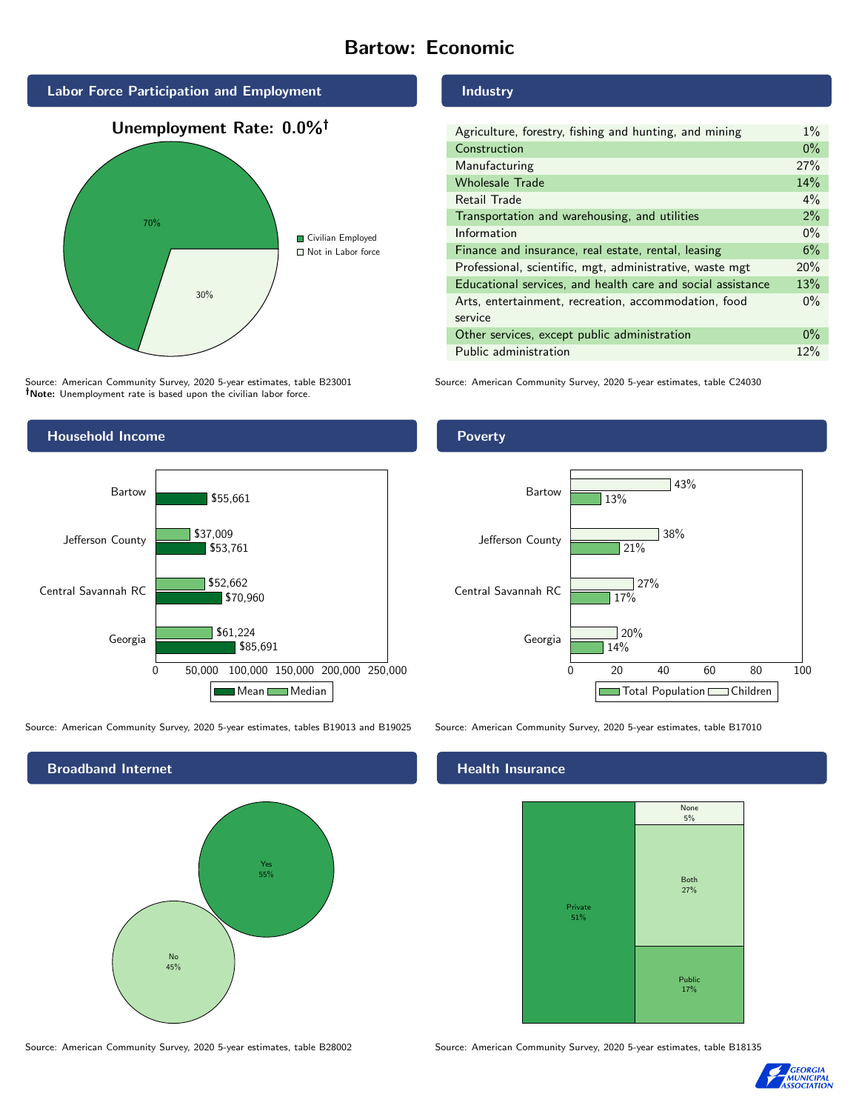#### Bartow: Economic



Source: American Community Survey, 2020 5-year estimates, table B23001 Note: Unemployment rate is based upon the civilian labor force.



Source: American Community Survey, 2020 5-year estimates, tables B19013 and B19025 Source: American Community Survey, 2020 5-year estimates, table B17010

Broadband Internet No 45% Yes 55%

Source: American Community Survey, 2020 5-year estimates, table B28002 Source: American Community Survey, 2020 5-year estimates, table B18135

Industry

| Agriculture, forestry, fishing and hunting, and mining      | $1\%$ |
|-------------------------------------------------------------|-------|
| Construction                                                | $0\%$ |
| Manufacturing                                               | 27%   |
| <b>Wholesale Trade</b>                                      | 14%   |
| Retail Trade                                                | $4\%$ |
| Transportation and warehousing, and utilities               | 2%    |
| Information                                                 | $0\%$ |
| Finance and insurance, real estate, rental, leasing         | 6%    |
| Professional, scientific, mgt, administrative, waste mgt    | 20%   |
| Educational services, and health care and social assistance | 13%   |
| Arts, entertainment, recreation, accommodation, food        | $0\%$ |
| service                                                     |       |
| Other services, except public administration                | $0\%$ |
| Public administration                                       | 12%   |

Source: American Community Survey, 2020 5-year estimates, table C24030





#### Health Insurance